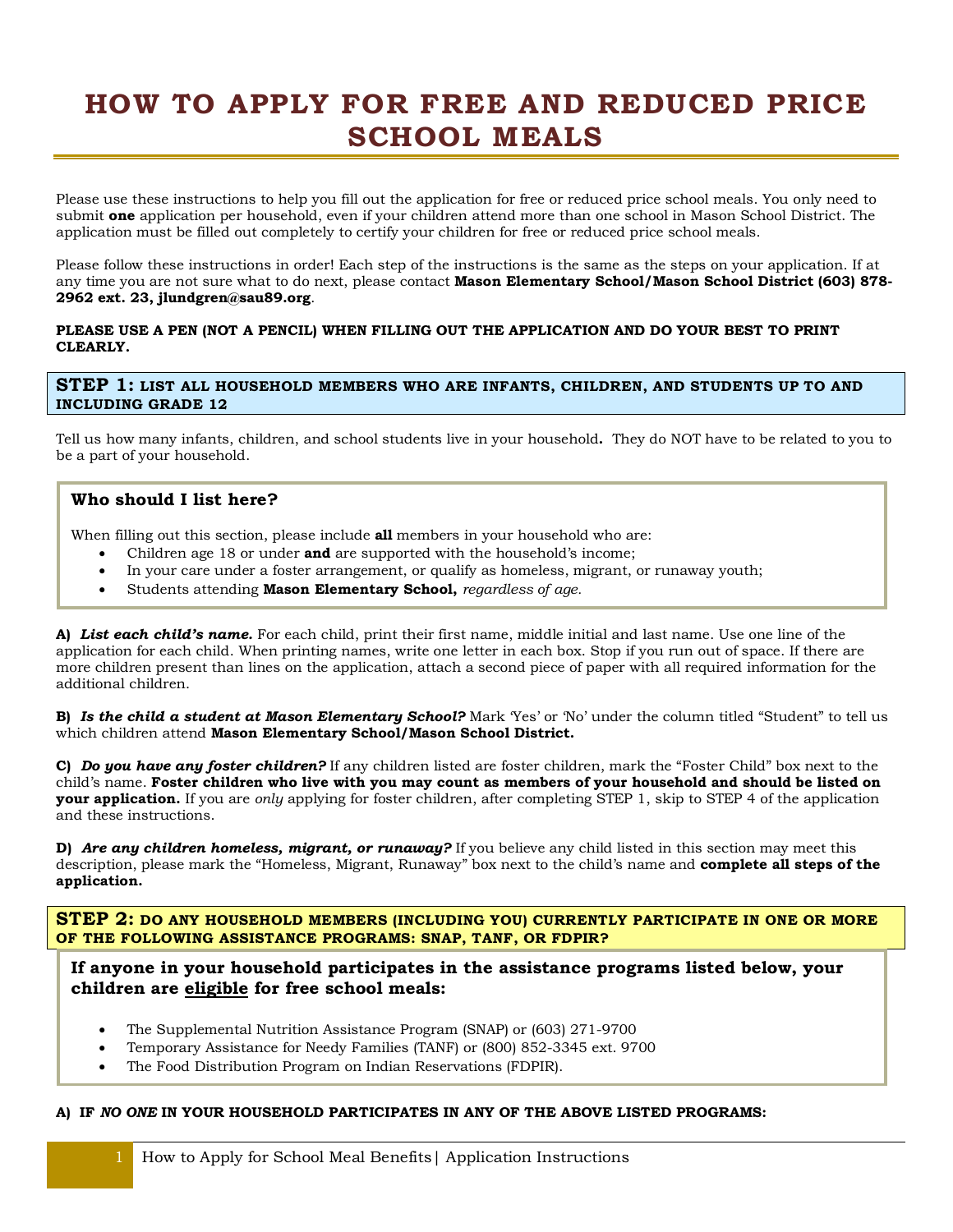# **HOW TO APPLY FOR FREE AND REDUCED PRICE SCHOOL MEALS**

Please use these instructions to help you fill out the application for free or reduced price school meals. You only need to submit **one** application per household, even if your children attend more than one school in Mason School District. The application must be filled out completely to certify your children for free or reduced price school meals.

Please follow these instructions in order! Each step of the instructions is the same as the steps on your application. If at any time you are not sure what to do next, please contact **Mason Elementary School/Mason School District (603) 878- 2962 ext. 23, jlundgren@sau89.org**.

#### **PLEASE USE A PEN (NOT A PENCIL) WHEN FILLING OUT THE APPLICATION AND DO YOUR BEST TO PRINT CLEARLY.**

**STEP 1: LIST ALL HOUSEHOLD MEMBERS WHO ARE INFANTS, CHILDREN, AND STUDENTS UP TO AND INCLUDING GRADE 12**

Tell us how many infants, children, and school students live in your household**.** They do NOT have to be related to you to be a part of your household.

## **Who should I list here?**

When filling out this section, please include **all** members in your household who are:

- · Children age 18 or under **and** are supported with the household's income;
- · In your care under a foster arrangement, or qualify as homeless, migrant, or runaway youth;
- · Students attending **Mason Elementary School,** *regardless of age.*

**A)** *List each child's name.* For each child, print their first name, middle initial and last name. Use one line of the application for each child. When printing names, write one letter in each box. Stop if you run out of space. If there are more children present than lines on the application, attach a second piece of paper with all required information for the additional children.

**B)** *Is the child a student at Mason Elementary School?* Mark 'Yes' or 'No' under the column titled "Student" to tell us which children attend **Mason Elementary School/Mason School District.**

**C)** *Do you have any foster children?* If any children listed are foster children, mark the "Foster Child" box next to the child's name. **Foster children who live with you may count as members of your household and should be listed on your application.** If you are *only* applying for foster children, after completing STEP 1, skip to STEP 4 of the application and these instructions.

**D)** *Are any children homeless, migrant, or runaway?* If you believe any child listed in this section may meet this description, please mark the "Homeless, Migrant, Runaway" box next to the child's name and **complete all steps of the application.**

**STEP 2: DO ANY HOUSEHOLD MEMBERS (INCLUDING YOU) CURRENTLY PARTICIPATE IN ONE OR MORE OF THE FOLLOWING ASSISTANCE PROGRAMS: SNAP, TANF, OR FDPIR?**

**If anyone in your household participates in the assistance programs listed below, your children are eligible for free school meals:**

- · The Supplemental Nutrition Assistance Program (SNAP) or (603) 271-9700
- · Temporary Assistance for Needy Families (TANF) or (800) 852-3345 ext. 9700
- The Food Distribution Program on Indian Reservations (FDPIR).

#### **A) IF** *NO ONE* **IN YOUR HOUSEHOLD PARTICIPATES IN ANY OF THE ABOVE LISTED PROGRAMS:**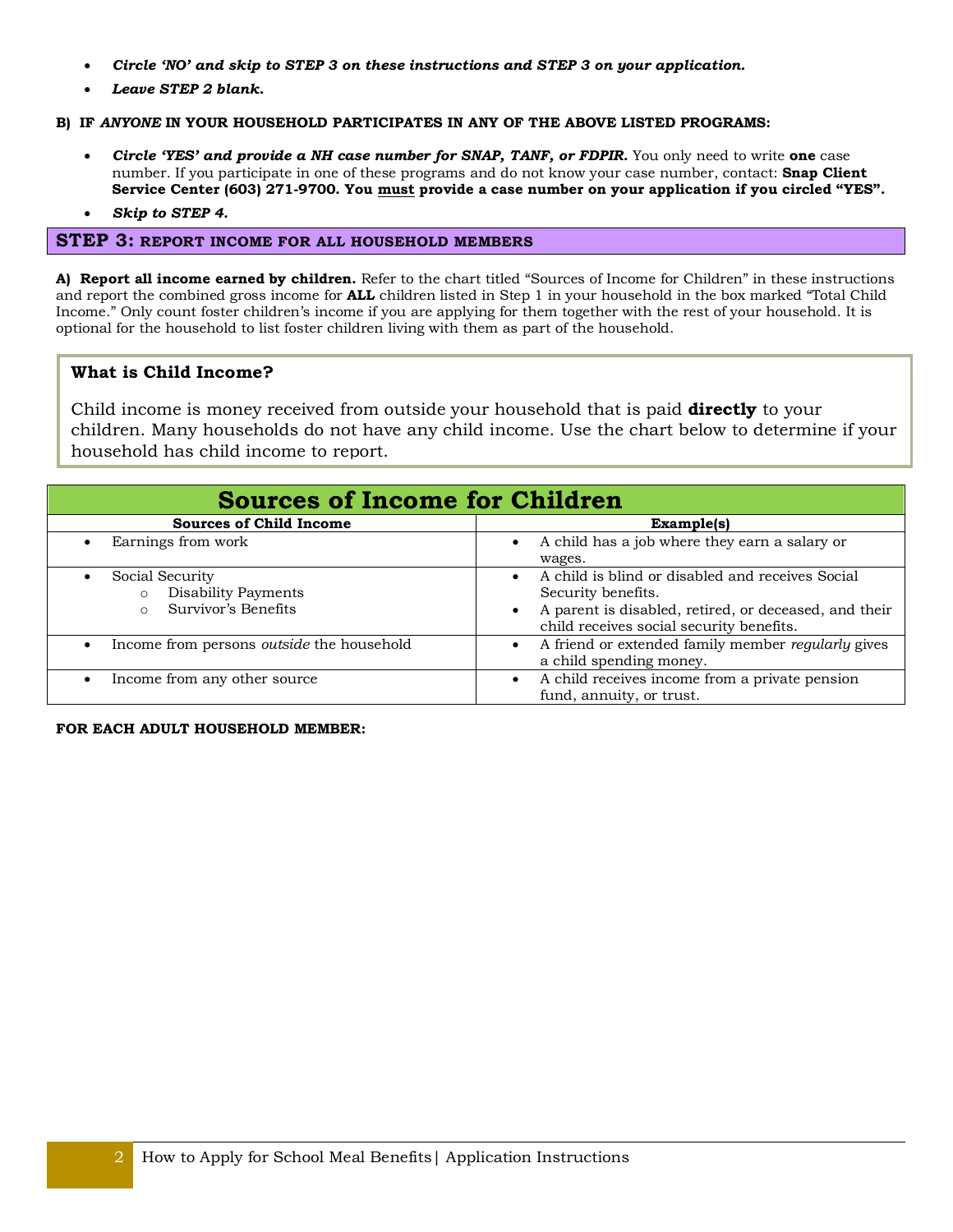- · *Circle 'NO' and skip to STEP 3 on these instructions and STEP 3 on your application.*
- · *Leave STEP 2 blank.*

#### **B) IF** *ANYONE* **IN YOUR HOUSEHOLD PARTICIPATES IN ANY OF THE ABOVE LISTED PROGRAMS:**

- · *Circle 'YES' and provide a NH case number for SNAP, TANF, or FDPIR.* You only need to write **one** case number. If you participate in one of these programs and do not know your case number, contact: **Snap Client Service Center (603) 271-9700. You must provide a case number on your application if you circled "YES".**
- · *Skip to STEP 4.*

#### **STEP 3: REPORT INCOME FOR ALL HOUSEHOLD MEMBERS**

**A) Report all income earned by children.** Refer to the chart titled "Sources of Income for Children" in these instructions and report the combined gross income for **ALL** children listed in Step 1 in your household in the box marked "Total Child Income." Only count foster children's income if you are applying for them together with the rest of your household. It is optional for the household to list foster children living with them as part of the household.

## **What is Child Income?**

Child income is money received from outside your household that is paid **directly** to your children. Many households do not have any child income. Use the chart below to determine if your household has child income to report.

| <b>Sources of Income for Children</b>                                      |                                                                                                                                                                                          |  |  |
|----------------------------------------------------------------------------|------------------------------------------------------------------------------------------------------------------------------------------------------------------------------------------|--|--|
| <b>Sources of Child Income</b>                                             | Example(s)                                                                                                                                                                               |  |  |
| Earnings from work                                                         | A child has a job where they earn a salary or<br>$\bullet$<br>wages.                                                                                                                     |  |  |
| Social Security<br>Disability Payments<br>Survivor's Benefits<br>$\bigcap$ | A child is blind or disabled and receives Social<br>Security benefits.<br>A parent is disabled, retired, or deceased, and their<br>$\bullet$<br>child receives social security benefits. |  |  |
| Income from persons <i>outside</i> the household                           | A friend or extended family member regularly gives<br>a child spending money.                                                                                                            |  |  |
| Income from any other source                                               | A child receives income from a private pension<br>fund, annuity, or trust.                                                                                                               |  |  |

#### **FOR EACH ADULT HOUSEHOLD MEMBER:**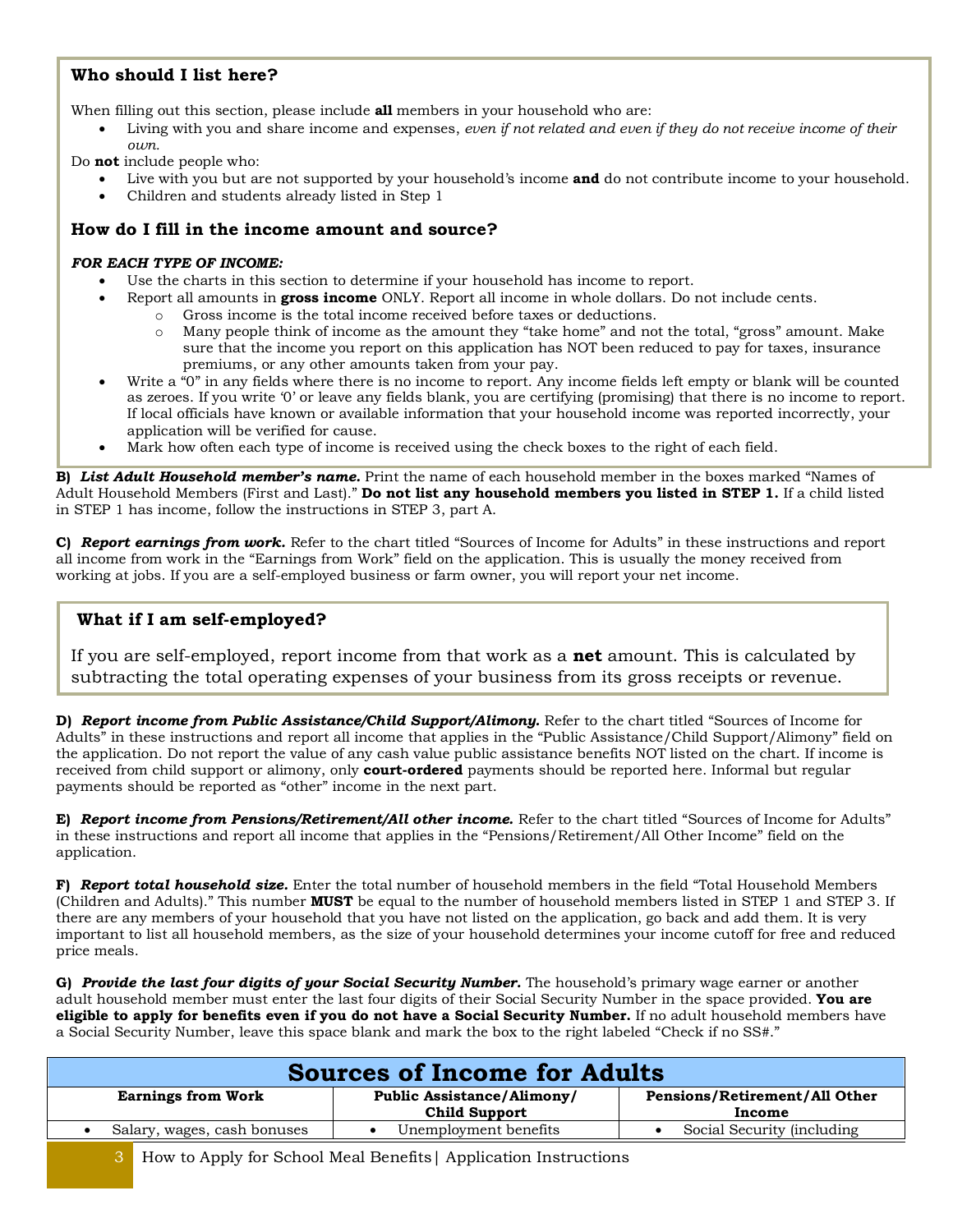# **Who should I list here?**

When filling out this section, please include **all** members in your household who are:

· Living with you and share income and expenses, *even if not related and even if they do not receive income of their own.*

Do **not** include people who:

- · Live with you but are not supported by your household's income **and** do not contribute income to your household.
- Children and students already listed in Step 1

## **How do I fill in the income amount and source?**

#### *FOR EACH TYPE OF INCOME:*

- Use the charts in this section to determine if your household has income to report.
	- · Report all amounts in **gross income** ONLY. Report all income in whole dollars. Do not include cents.
		- o Gross income is the total income received before taxes or deductions.
		- o Many people think of income as the amount they "take home" and not the total, "gross" amount. Make sure that the income you report on this application has NOT been reduced to pay for taxes, insurance premiums, or any other amounts taken from your pay.
- Write a "0" in any fields where there is no income to report. Any income fields left empty or blank will be counted as zeroes. If you write '0' or leave any fields blank, you are certifying (promising) that there is no income to report. If local officials have known or available information that your household income was reported incorrectly, your application will be verified for cause.
- Mark how often each type of income is received using the check boxes to the right of each field.

**B)** *List Adult Household member's name.* Print the name of each household member in the boxes marked "Names of Adult Household Members (First and Last)." **Do not list any household members you listed in STEP 1.** If a child listed in STEP 1 has income, follow the instructions in STEP 3, part A.

**C)** *Report earnings from work.* Refer to the chart titled "Sources of Income for Adults" in these instructions and report all income from work in the "Earnings from Work" field on the application. This is usually the money received from working at jobs. If you are a self-employed business or farm owner, you will report your net income.

## **What if I am self-employed?**

If you are self-employed, report income from that work as a **net** amount. This is calculated by subtracting the total operating expenses of your business from its gross receipts or revenue.

**D)** *Report income from Public Assistance/Child Support/Alimony.* Refer to the chart titled "Sources of Income for Adults" in these instructions and report all income that applies in the "Public Assistance/Child Support/Alimony" field on the application. Do not report the value of any cash value public assistance benefits NOT listed on the chart. If income is received from child support or alimony, only **court-ordered** payments should be reported here. Informal but regular payments should be reported as "other" income in the next part.

**E)** *Report income from Pensions/Retirement/All other income.* Refer to the chart titled "Sources of Income for Adults" in these instructions and report all income that applies in the "Pensions/Retirement/All Other Income" field on the application.

**F)** *Report total household size.* Enter the total number of household members in the field "Total Household Members (Children and Adults)." This number **MUST** be equal to the number of household members listed in STEP 1 and STEP 3. If there are any members of your household that you have not listed on the application, go back and add them. It is very important to list all household members, as the size of your household determines your income cutoff for free and reduced price meals.

**G)** *Provide the last four digits of your Social Security Number.* The household's primary wage earner or another adult household member must enter the last four digits of their Social Security Number in the space provided. **You are eligible to apply for benefits even if you do not have a Social Security Number.** If no adult household members have a Social Security Number, leave this space blank and mark the box to the right labeled "Check if no SS#."

| <b>Sources of Income for Adults</b> |                                                           |                                         |  |
|-------------------------------------|-----------------------------------------------------------|-----------------------------------------|--|
| <b>Earnings from Work</b>           | <b>Public Assistance/Alimony/</b><br><b>Child Support</b> | Pensions/Retirement/All Other<br>Income |  |
| Salary, wages, cash bonuses         | Unemployment benefits                                     | Social Security (including)             |  |
|                                     |                                                           |                                         |  |

3 How to Apply for School Meal Benefits| Application Instructions